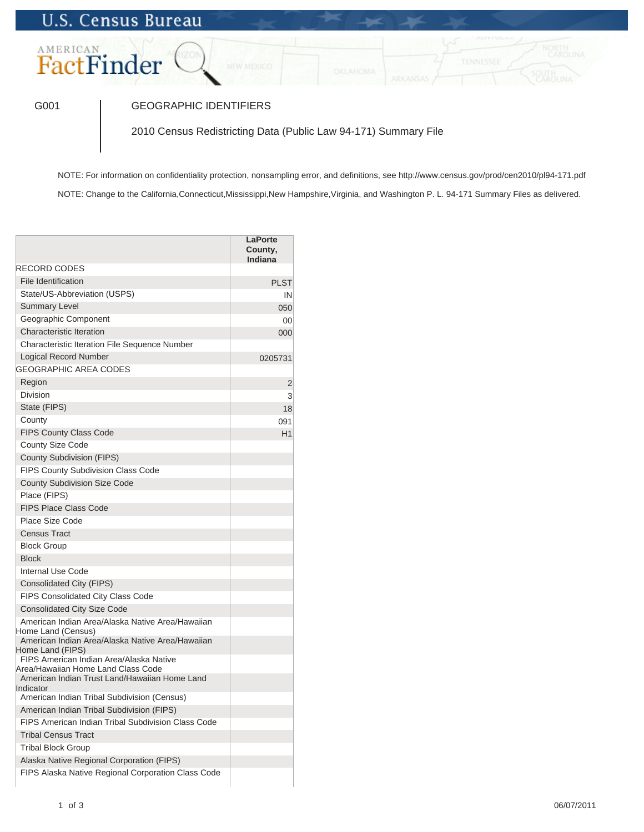## **U.S. Census Bureau**

## AMERICAN FactFinder

## G001 GEOGRAPHIC IDENTIFIERS

2010 Census Redistricting Data (Public Law 94-171) Summary File

NOTE: For information on confidentiality protection, nonsampling error, and definitions, see http://www.census.gov/prod/cen2010/pl94-171.pdf NOTE: Change to the California,Connecticut,Mississippi,New Hampshire,Virginia, and Washington P. L. 94-171 Summary Files as delivered.

**LaPorte County, Indiana** RECORD CODES File Identification **PLST** State/US-Abbreviation (USPS) **IN** Summary Level **Contract Contract Contract Contract Contract Contract Contract Contract Contract Contract Contract Contract Contract Contract Contract Contract Contract Contract Contract Contract Contract Contract Contract** Geographic Component 00 Characteristic Iteration 000 Characteristic Iteration File Sequence Number Logical Record Number 0205731 GEOGRAPHIC AREA CODES **Region 22 Proposed by Contract Contract Contract Contract Contract Contract Contract Contract Contract Contract Contract Contract Contract Contract Contract Contract Contract Contract Contract Contract Contract Contract C** Division 3 State (FIPS) 18 County **County** 091 FIPS County Class Code H1 County Size Code County Subdivision (FIPS) FIPS County Subdivision Class Code County Subdivision Size Code Place (FIPS) FIPS Place Class Code Place Size Code Census Tract Block Group Block Internal Use Code Consolidated City (FIPS) FIPS Consolidated City Class Code Consolidated City Size Code American Indian Area/Alaska Native Area/Hawaiian Home Land (Census) American Indian Area/Alaska Native Area/Hawaiian Home Land (FIPS) FIPS American Indian Area/Alaska Native Area/Hawaiian Home Land Class Code American Indian Trust Land/Hawaiian Home Land Indicator American Indian Tribal Subdivision (Census) American Indian Tribal Subdivision (FIPS) FIPS American Indian Tribal Subdivision Class Code Tribal Census Tract Tribal Block Group Alaska Native Regional Corporation (FIPS) FIPS Alaska Native Regional Corporation Class Code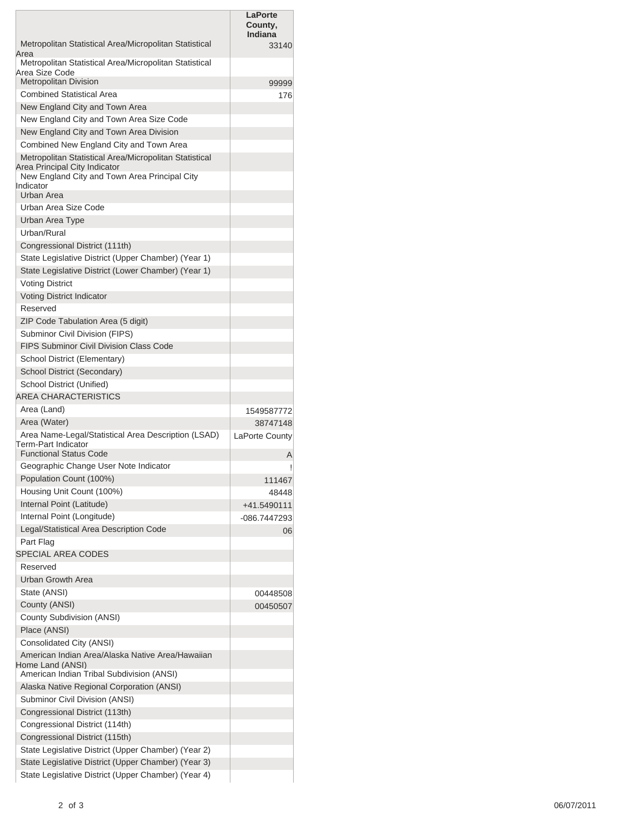|                                                                                                            | <b>LaPorte</b><br>County,<br>Indiana |
|------------------------------------------------------------------------------------------------------------|--------------------------------------|
| Metropolitan Statistical Area/Micropolitan Statistical<br>Area                                             | 33140                                |
| Metropolitan Statistical Area/Micropolitan Statistical<br>Area Size Code                                   |                                      |
| <b>Metropolitan Division</b>                                                                               | 99999                                |
| <b>Combined Statistical Area</b>                                                                           | 176                                  |
| New England City and Town Area                                                                             |                                      |
| New England City and Town Area Size Code                                                                   |                                      |
| New England City and Town Area Division                                                                    |                                      |
| Combined New England City and Town Area                                                                    |                                      |
| Metropolitan Statistical Area/Micropolitan Statistical<br>Area Principal City Indicator                    |                                      |
| New England City and Town Area Principal City                                                              |                                      |
| Indicator<br>Urban Area                                                                                    |                                      |
| Urban Area Size Code                                                                                       |                                      |
| Urban Area Type                                                                                            |                                      |
| Urban/Rural                                                                                                |                                      |
| Congressional District (111th)                                                                             |                                      |
| State Legislative District (Upper Chamber) (Year 1)                                                        |                                      |
| State Legislative District (Lower Chamber) (Year 1)                                                        |                                      |
| <b>Voting District</b>                                                                                     |                                      |
| <b>Voting District Indicator</b>                                                                           |                                      |
| Reserved                                                                                                   |                                      |
| ZIP Code Tabulation Area (5 digit)                                                                         |                                      |
| Subminor Civil Division (FIPS)                                                                             |                                      |
| <b>FIPS Subminor Civil Division Class Code</b>                                                             |                                      |
| School District (Elementary)                                                                               |                                      |
| School District (Secondary)                                                                                |                                      |
| School District (Unified)                                                                                  |                                      |
| AREA CHARACTERISTICS                                                                                       |                                      |
| Area (Land)                                                                                                | 1549587772                           |
| Area (Water)                                                                                               | 38747148                             |
| Area Name-Legal/Statistical Area Description (LSAD)<br>Term-Part Indicator                                 | LaPorte County                       |
| <b>Functional Status Code</b>                                                                              | Α                                    |
| Geographic Change User Note Indicator                                                                      |                                      |
| Population Count (100%)<br>Housing Unit Count (100%)                                                       | 111467                               |
| Internal Point (Latitude)                                                                                  | 48448                                |
| Internal Point (Longitude)                                                                                 | +41.5490111                          |
| Legal/Statistical Area Description Code                                                                    | -086.7447293                         |
| Part Flag                                                                                                  | 06                                   |
| <b>SPECIAL AREA CODES</b>                                                                                  |                                      |
| Reserved                                                                                                   |                                      |
| <b>Urban Growth Area</b>                                                                                   |                                      |
| State (ANSI)                                                                                               | 00448508                             |
| County (ANSI)                                                                                              | 00450507                             |
| County Subdivision (ANSI)                                                                                  |                                      |
| Place (ANSI)                                                                                               |                                      |
| Consolidated City (ANSI)                                                                                   |                                      |
| American Indian Area/Alaska Native Area/Hawaiian                                                           |                                      |
| Home Land (ANSI)                                                                                           |                                      |
| American Indian Tribal Subdivision (ANSI)                                                                  |                                      |
| Alaska Native Regional Corporation (ANSI)                                                                  |                                      |
| Subminor Civil Division (ANSI)                                                                             |                                      |
| Congressional District (113th)                                                                             |                                      |
| Congressional District (114th)                                                                             |                                      |
| Congressional District (115th)                                                                             |                                      |
| State Legislative District (Upper Chamber) (Year 2)<br>State Legislative District (Upper Chamber) (Year 3) |                                      |
| State Legislative District (Upper Chamber) (Year 4)                                                        |                                      |
|                                                                                                            |                                      |